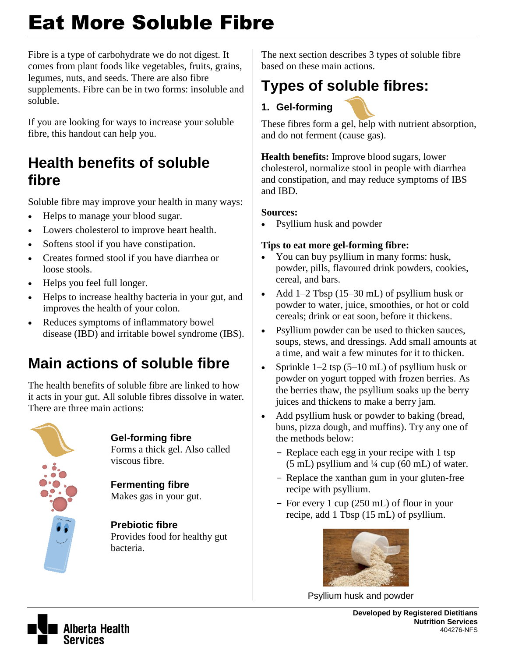# Eat More Soluble Fibre

Fibre is a type of carbohydrate we do not digest. It comes from plant foods like vegetables, fruits, grains, legumes, nuts, and seeds. There are also fibre supplements. Fibre can be in two forms: insoluble and soluble.

If you are looking for ways to increase your soluble fibre, this handout can help you.

### **Health benefits of soluble fibre**

Soluble fibre may improve your health in many ways:

- Helps to manage your blood sugar.
- Lowers cholesterol to improve heart health.
- Softens stool if you have constipation.
- Creates formed stool if you have diarrhea or loose stools.
- Helps you feel full longer.
- Helps to increase healthy bacteria in your gut, and improves the health of your colon.
- Reduces symptoms of inflammatory bowel disease (IBD) and irritable bowel syndrome (IBS).

# **Main actions of soluble fibre**

The health benefits of soluble fibre are linked to how it acts in your gut. All soluble fibres dissolve in water. There are three main actions:



### **Gel-forming fibre**

Forms a thick gel. Also called viscous fibre.

**Fermenting fibre** Makes gas in your gut.

**Prebiotic fibre** Provides food for healthy gut bacteria.

The next section describes 3 types of soluble fibre based on these main actions.

## **Types of soluble fibres:**

### **1. Gel-forming**

These fibres form a gel, help with nutrient absorption, and do not ferment (cause gas).

**Health benefits:** Improve blood sugars, lower cholesterol, normalize stool in people with diarrhea and constipation, and may reduce symptoms of IBS and IBD.

#### **Sources:**

Psyllium husk and powder

#### **Tips to eat more gel-forming fibre:**

- You can buy psyllium in many forms: husk, powder, pills, flavoured drink powders, cookies, cereal, and bars.
- Add 1–2 Tbsp (15–30 mL) of psyllium husk or powder to water, juice, smoothies, or hot or cold cereals; drink or eat soon, before it thickens.
- Psyllium powder can be used to thicken sauces, soups, stews, and dressings. Add small amounts at a time, and wait a few minutes for it to thicken.
- Sprinkle 1–2 tsp (5–10 mL) of psyllium husk or powder on yogurt topped with frozen berries. As the berries thaw, the psyllium soaks up the berry juices and thickens to make a berry jam.
- Add psyllium husk or powder to baking (bread, buns, pizza dough, and muffins). Try any one of the methods below:
	- Replace each egg in your recipe with 1 tsp  $(5 \text{ mL})$  psyllium and  $\frac{1}{4}$  cup  $(60 \text{ mL})$  of water.
	- Replace the xanthan gum in your gluten-free recipe with psyllium.
	- For every 1 cup (250 mL) of flour in your recipe, add 1 Tbsp (15 mL) of psyllium.



Psyllium husk and powder



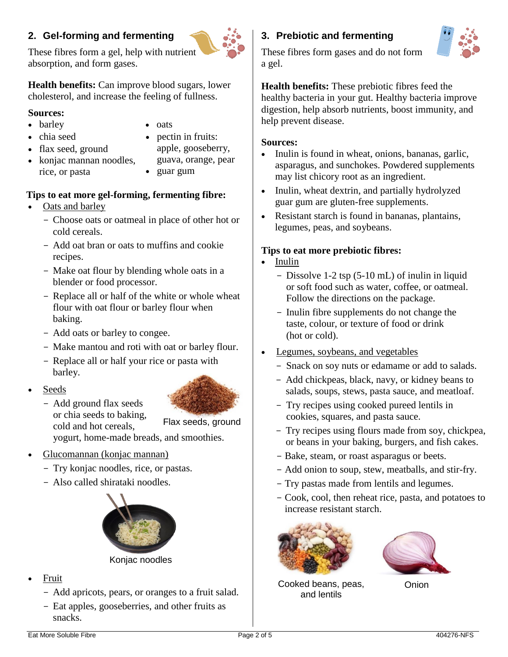#### **2. Gel-forming and fermenting**

These fibres form a gel, help with nutrient absorption, and form gases.

**Health benefits:** Can improve blood sugars, lower cholesterol, and increase the feeling of fullness.

#### **Sources:**

• barley • chia seed

- oats
- pectin in fruits: apple, gooseberry, guava, orange, pear
- konjac mannan noodles, rice, or pasta
- guar gum

#### **Tips to eat more gel-forming, fermenting fibre:**

• Oats and barley

• flax seed, ground

- Choose oats or oatmeal in place of other hot or cold cereals.
- Add oat bran or oats to muffins and cookie recipes.
- Make oat flour by blending whole oats in a blender or food processor.
- Replace all or half of the white or whole wheat flour with oat flour or barley flour when baking.
- Add oats or barley to congee.
- Make mantou and roti with oat or barley flour.
- Replace all or half your rice or pasta with barley.
- Seeds
	- Add ground flax seeds or chia seeds to baking, cold and hot cereals, yogurt, home-made breads, and smoothies. Flax seeds, ground



- Try konjac noodles, rice, or pastas.
- Also called shirataki noodles.



Konjac noodles

- Fruit
	- Add apricots, pears, or oranges to a fruit salad.
	- Eat apples, gooseberries, and other fruits as snacks.

### **3. Prebiotic and fermenting**



These fibres form gases and do not form a gel.

**Health benefits:** These prebiotic fibres feed the healthy bacteria in your gut. Healthy bacteria improve digestion, help absorb nutrients, boost immunity, and help prevent disease.

#### **Sources:**

- Inulin is found in wheat, onions, bananas, garlic, asparagus, and sunchokes. Powdered supplements may list chicory root as an ingredient.
- Inulin, wheat dextrin, and partially hydrolyzed guar gum are gluten-free supplements.
- Resistant starch is found in bananas, plantains, legumes, peas, and soybeans.

#### **Tips to eat more prebiotic fibres:**

- Inulin
	- Dissolve 1-2 tsp (5-10 mL) of inulin in liquid or soft food such as water, coffee, or oatmeal. Follow the directions on the package.
	- Inulin fibre supplements do not change the taste, colour, or texture of food or drink (hot or cold).
- Legumes, soybeans, and vegetables
	- Snack on soy nuts or edamame or add to salads.
	- Add chickpeas, black, navy, or kidney beans to salads, soups, stews, pasta sauce, and meatloaf.
	- Try recipes using cooked pureed lentils in cookies, squares, and pasta sauce.
	- Try recipes using flours made from soy, chickpea, or beans in your baking, burgers, and fish cakes.
	- Bake, steam, or roast asparagus or beets.
	- Add onion to soup, stew, meatballs, and stir-fry.
	- Try pastas made from lentils and legumes.
	- Cook, cool, then reheat rice, pasta, and potatoes to increase resistant starch.





Cooked beans, peas, and lentils

Onion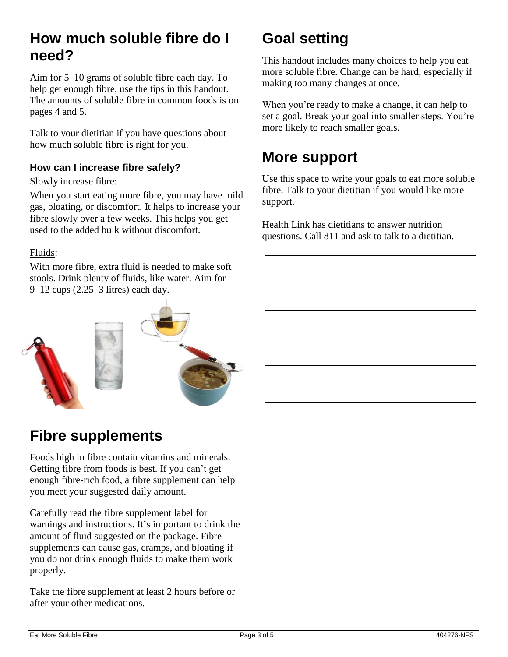### **How much soluble fibre do I need?**

Aim for 5–10 grams of soluble fibre each day. To help get enough fibre, use the tips in this handout. The amounts of soluble fibre in common foods is on pages 4 and 5.

Talk to your dietitian if you have questions about how much soluble fibre is right for you.

#### **How can I increase fibre safely?**

#### Slowly increase fibre:

When you start eating more fibre, you may have mild gas, bloating, or discomfort. It helps to increase your fibre slowly over a few weeks. This helps you get used to the added bulk without discomfort.

#### Fluids:

With more fibre, extra fluid is needed to make soft stools. Drink plenty of fluids, like water. Aim for 9–12 cups (2.25–3 litres) each day.



### **Fibre supplements**

Foods high in fibre contain vitamins and minerals. Getting fibre from foods is best. If you can't get enough fibre-rich food, a fibre supplement can help you meet your suggested daily amount.

Carefully read the fibre supplement label for warnings and instructions. It's important to drink the amount of fluid suggested on the package. Fibre supplements can cause gas, cramps, and bloating if you do not drink enough fluids to make them work properly.

Take the fibre supplement at least 2 hours before or after your other medications.

# **Goal setting**

This handout includes many choices to help you eat more soluble fibre. Change can be hard, especially if making too many changes at once.

When you're ready to make a change, it can help to set a goal. Break your goal into smaller steps. You're more likely to reach smaller goals.

### **More support**

Use this space to write your goals to eat more soluble fibre. Talk to your dietitian if you would like more support.

Health Link has dietitians to answer nutrition questions. Call 811 and ask to talk to a dietitian.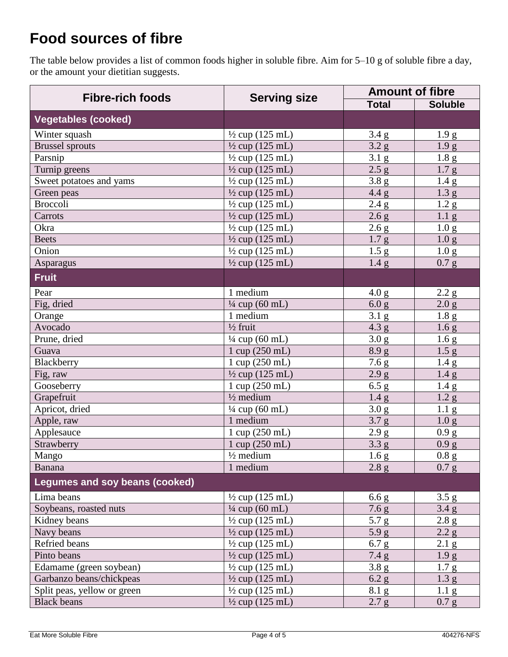### **Food sources of fibre**

The table below provides a list of common foods higher in soluble fibre. Aim for 5–10 g of soluble fibre a day, or the amount your dietitian suggests.

| <b>Fibre-rich foods</b>        | <b>Serving size</b>        | <b>Amount of fibre</b> |                  |
|--------------------------------|----------------------------|------------------------|------------------|
|                                |                            | <b>Total</b>           | <b>Soluble</b>   |
| <b>Vegetables (cooked)</b>     |                            |                        |                  |
| Winter squash                  | $\frac{1}{2}$ cup (125 mL) | $3.4\text{ g}$         | 1.9 <sub>g</sub> |
| <b>Brussel sprouts</b>         | $\frac{1}{2}$ cup (125 mL) | 3.2 g                  | 1.9 <sub>g</sub> |
| Parsnip                        | $\frac{1}{2}$ cup (125 mL) | 3.1 <sub>g</sub>       | 1.8 <sub>g</sub> |
| Turnip greens                  | $\frac{1}{2}$ cup (125 mL) | 2.5 g                  | 1.7 <sub>g</sub> |
| Sweet potatoes and yams        | $\frac{1}{2}$ cup (125 mL) | 3.8 g                  | 1.4 <sub>g</sub> |
| Green peas                     | $\frac{1}{2}$ cup (125 mL) | 4.4 g                  | 1.3 <sub>g</sub> |
| <b>Broccoli</b>                | $\frac{1}{2}$ cup (125 mL) | 2.4 g                  | 1.2 <sub>g</sub> |
| Carrots                        | $\frac{1}{2}$ cup (125 mL) | 2.6 g                  | 1.1 <sub>g</sub> |
| Okra                           | $\frac{1}{2}$ cup (125 mL) | 2.6 g                  | 1.0 <sub>g</sub> |
| <b>Beets</b>                   | $\frac{1}{2}$ cup (125 mL) | 1.7 <sub>g</sub>       | 1.0 <sub>g</sub> |
| Onion                          | $\frac{1}{2}$ cup (125 mL) | 1.5 <sub>g</sub>       | 1.0 <sub>g</sub> |
| Asparagus                      | $\frac{1}{2}$ cup (125 mL) | 1.4 <sub>g</sub>       | 0.7 g            |
| <b>Fruit</b>                   |                            |                        |                  |
| Pear                           | 1 medium                   | 4.0 g                  | 2.2 <sub>g</sub> |
| Fig, dried                     | $\frac{1}{4}$ cup (60 mL)  | 6.0 g                  | 2.0 g            |
| Orange                         | 1 medium                   | $3.1\text{ g}$         | 1.8 <sub>g</sub> |
| Avocado                        | $\frac{1}{2}$ fruit        | 4.3 g                  | 1.6 <sub>g</sub> |
| Prune, dried                   | $\frac{1}{4}$ cup (60 mL)  | 3.0 g                  | 1.6 <sub>g</sub> |
| Guava                          | 1 cup (250 mL)             | 8.9 g                  | 1.5 g            |
| Blackberry                     | 1 cup (250 mL)             | 7.6 g                  | 1.4 <sub>g</sub> |
| Fig, raw                       | $\frac{1}{2}$ cup (125 mL) | 2.9 g                  | 1.4 <sub>g</sub> |
| Gooseberry                     | 1 cup (250 mL)             | 6.5 g                  | 1.4 <sub>g</sub> |
| Grapefruit                     | $\frac{1}{2}$ medium       | 1.4 <sub>g</sub>       | 1.2 <sub>g</sub> |
| Apricot, dried                 | 1/4 cup (60 mL)            | 3.0 <sub>g</sub>       | 1.1 <sub>g</sub> |
| Apple, raw                     | 1 medium                   | 3.7 <sub>g</sub>       | 1.0 <sub>g</sub> |
| Applesauce                     | 1 cup (250 mL)             | 2.9 g                  | 0.9 g            |
| Strawberry                     | 1 cup (250 mL)             | 3.3 <sub>g</sub>       | 0.9 g            |
| Mango                          | $\frac{1}{2}$ medium       | 1.6 <sub>g</sub>       | 0.8 g            |
| <b>Banana</b>                  | 1 medium                   | 2.8 g                  | 0.7 <sub>g</sub> |
| Legumes and soy beans (cooked) |                            |                        |                  |
| Lima beans                     | $\frac{1}{2}$ cup (125 mL) | 6.6 g                  | 3.5 g            |
| Soybeans, roasted nuts         | $\frac{1}{4}$ cup (60 mL)  | 7.6 <sub>g</sub>       | 3.4 g            |
| Kidney beans                   | $\frac{1}{2}$ cup (125 mL) | 5.7 g                  | 2.8 g            |
| Navy beans                     | $\frac{1}{2}$ cup (125 mL) | 5.9 g                  | 2.2 g            |
| Refried beans                  | $\frac{1}{2}$ cup (125 mL) | 6.7 g                  | $2.1\text{ g}$   |
| Pinto beans                    | $\frac{1}{2}$ cup (125 mL) | 7.4 g                  | 1.9 <sub>g</sub> |
| Edamame (green soybean)        | $\frac{1}{2}$ cup (125 mL) | 3.8 g                  | 1.7 <sub>g</sub> |
| Garbanzo beans/chickpeas       | $\frac{1}{2}$ cup (125 mL) | 6.2 g                  | 1.3 g            |
| Split peas, yellow or green    | $\frac{1}{2}$ cup (125 mL) | $8.1\text{ g}$         | 1.1 <sub>g</sub> |
| <b>Black beans</b>             | $\frac{1}{2}$ cup (125 mL) | 2.7 g                  | 0.7 g            |